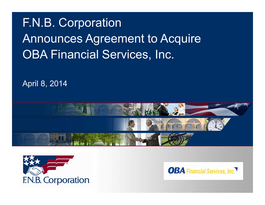# F.N.B. Corporation Announces Agreement to Acquire OBA Financial Services, Inc.

April 8, 2014





**OBA** Financial Services, Inc.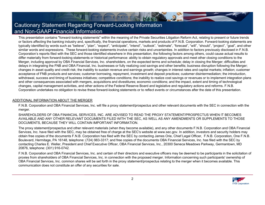### Cautionary Statement Regarding Forward-Looking Information and Non-GAAP Financial Information

This presentation contains "forward-looking statements" within the meaning of the Private Securities Litigation Reform Act, relating to present or future trends or factors affecting the banking industry and, specifically, the financial operations, markets and products of F.N.B. Corporation. Forward-looking statements are typically identified by words such as "believe", "plan", "expect", "anticipate", "intend", "outlook", "estimate", "forecast", "will", "should", "project", "goal", and other similar words and expressions. These forward-looking statements involve certain risks and uncertainties. In addition to factors previously disclosed in F.N.B. Corporation's reports filed with the SEC and those identified elsewhere in this presentation, the following factors among others, could cause actual results to differ materially from forward-looking statements or historical performance: ability to obtain regulatory approvals and meet other closing conditions to the Merger, including approval by OBA Financial Services, Inc. shareholders, on the expected terms and schedule; delay in closing the Merger; difficulties and delays in integrating the FNB and OBA Financial, Inc. businesses or fully realizing cost savings and other benefits; business disruption following the Merger; changes in asset quality and credit risk; the inability to sustain revenue and earnings growth; changes in interest rates and capital markets; inflation; customer acceptance of FNB products and services; customer borrowing, repayment, investment and deposit practices; customer disintermediation; the introduction, withdrawal, success and timing of business initiatives; competitive conditions; the inability to realize cost savings or revenues or to implement integration plans and other consequences associated with mergers, acquisitions and divestitures; economic conditions; and the impact, extent and timing of technological changes, capital management activities, and other actions of the Federal Reserve Board and legislative and regulatory actions and reforms. F.N.B. Corporation undertakes no obligation to revise these forward-looking statements or to reflect events or circumstances after the date of this presentation.

#### ADDITIONAL INFORMATION ABOUT THE MERGER

F.N.B. Corporation and OBA Financial Services, Inc. will file a proxy statement/prospectus and other relevant documents with the SEC in connection with the merger.

SHAREHOLDERS OF OBA FINANCIAL SERVICES, INC. ARE ADVISED TO READ THE PROXY STATEMENT/PROSPECTUS WHEN IT BECOMES AVAILABLE AND ANY OTHER RELEVANT DOCUMENTS FILED WITH THE SEC, AS WELL AS ANY AMENDMENTS OR SUPPLEMENTS TO THOSE DOCUMENTS, BECAUSE THEY WILL CONTAIN IMPORTANT INFORMATION.

The proxy statement/prospectus and other relevant materials (when they become available), and any other documents F.N.B. Corporation and OBA Financial Services, Inc. have filed with the SEC, may be obtained free of charge at the SEC's website at www.sec.gov. In addition, investors and security holders may obtain free copies of the documents F.N.B. Corporation has filed with the SEC by contacting James Orie, Chief Legal Officer, F.N.B. Corporation, One F.N.B. Boulevard, Hermitage, PA 16148, telephone: (724) 983-3317; and free copies of the documents OBA Financial Services, Inc. has filed with the SEC by contacting Charles E. Weller, President and Chief Executive Officer, OBA Financial Services, Inc., 20300 Seneca Meadows Parkway, Germantown, MD 20876, telephone: (301) 916-0742.

F.N.B. Corporation and OBA Financial Services, Inc. and certain of their directors and executive officers may be deemed to be participants in the solicitation of proxies from shareholders of OBA Financial Services, Inc. in connection with the proposed merger. Information concerning such participants' ownership of OBA Financial Services, Inc. common shares will be set forth in the proxy statement/prospectus relating to the merger when it becomes available. This communication does not constitute an offer of any securities for sale.

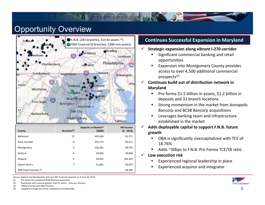### **Opportunity Overview**



| County                             | Branches <sup>(3)</sup> | Deposits in Market <sup>(3)</sup><br>(5000) | <b>HH Income</b><br>$(5 - 2013)$ |
|------------------------------------|-------------------------|---------------------------------------------|----------------------------------|
| Baltimore                          | 12                      | 445,636                                     | 63,371                           |
| Anne Arundel                       | 8                       | 315,773                                     | 84,511                           |
| Montgomery                         | 4                       | 239,381                                     | 94,705                           |
| Harford                            | 4                       | 92,856                                      | 78,058                           |
| Howard                             | $\overline{2}$          | 69,092                                      | 105,203                          |
| Queen Anne's                       | 1                       | 41,862                                      | 80,074                           |
| FNB Total Franchise <sup>(4)</sup> |                         |                                             | 46,906                           |

Source: Deposit and demographic data per SNL Financial; deposits as of June 30, 2013.

(1) Pro forma for completed BCSB Bancorp acquisition.

- (2) Businesses with revenue greater than \$1 million. Data per Hoovers.
- (3) FNB pro forma with OBA Financial.
- (4) Weighted average by county, standalone excluding OBA

#### **Continues Successful Expansion in Maryland**

- $\checkmark$  **Strategic expansion along vibrant I‐270 corridor**
	- Г Significant commercial banking and retail opportunities
	- Expansion into Montgomery County provides access to over 4,500 additional commercial prospects(2)
- $\checkmark$  **Continues build out of distribution network in Maryland**
	- Pro forma \$1.5 billion in assets, \$1.2 billion in deposits and 31 branch locations
	- Strong momentum in the market from Annapolis Bancorp and BCSB Bancorp acquisitions
	- ×, Leverages banking team and infrastructure established in the market
- $\checkmark$  **Adds deployable capital to support F.N.B. future growth**
	- OBA is significantly overcapitalized with TCE of 18.76%
	- Г Adds ~30bps to F.N.B. Pro Forma TCE/TA ratio
- $\checkmark$  **Low execution risk**
	- Experienced regional leadership in place
	- Experienced acquiror and integrator

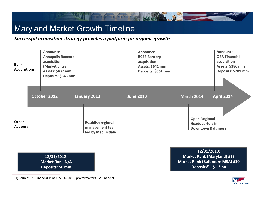## Maryland Market Growth Timeline

*Successful acquisition strategy provides a platform for organic growth*

|                                     | 12/31/2012:<br><b>Market Rank N/A</b><br>Deposits: \$0 mm                                                              |              |                                                                                                 |                  |                                                                                                  | 12/31/2013:<br><b>Market Rank (Maryland) #13</b><br><b>Market Rank (Baltimore MSA) #10</b><br>Deposits <sup>(1)</sup> : \$1.2 bn |
|-------------------------------------|------------------------------------------------------------------------------------------------------------------------|--------------|-------------------------------------------------------------------------------------------------|------------------|--------------------------------------------------------------------------------------------------|----------------------------------------------------------------------------------------------------------------------------------|
| Other<br><b>Actions:</b>            | October 2012                                                                                                           | January 2013 | <b>Establish regional</b><br>management team<br>led by Mac Tisdale                              | <b>June 2013</b> | <b>March 2014</b><br><b>Open Regional</b><br><b>Headquarters in</b><br><b>Downtown Baltimore</b> | <b>April 2014</b>                                                                                                                |
| <b>Bank</b><br><b>Acquisitions:</b> | <b>Announce</b><br><b>Annapolis Bancorp</b><br>acquisition<br>(Market Entry)<br>Assets: \$437 mm<br>Deposits: \$343 mm |              | <b>Announce</b><br><b>BCSB Bancorp</b><br>acquisition<br>Assets: \$642 mm<br>Deposits: \$561 mm |                  | Announce<br><b>OBA Financial</b><br>acquisition<br>Assets: \$386 mm<br>Deposits: \$289 mm        |                                                                                                                                  |

 $\ddot{a}$ 

(1) Source: SNL Financial as of June 30, 2013, pro forma for OBA Financial.

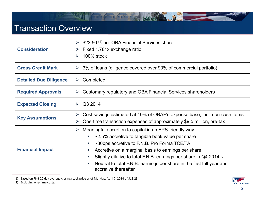### Transaction Overview

| <b>Consideration</b>          | \$23.56 <sup>(1)</sup> per OBA Financial Services share<br>Fixed 1.781x exchange ratio<br>➤<br>100% stock<br>$\blacktriangleright$                                                                                                                                                                                                                                                                                                                                                                      |  |  |  |  |
|-------------------------------|---------------------------------------------------------------------------------------------------------------------------------------------------------------------------------------------------------------------------------------------------------------------------------------------------------------------------------------------------------------------------------------------------------------------------------------------------------------------------------------------------------|--|--|--|--|
| <b>Gross Credit Mark</b>      | $\geq$ 3% of loans (diligence covered over 90% of commercial portfolio)                                                                                                                                                                                                                                                                                                                                                                                                                                 |  |  |  |  |
| <b>Detailed Due Diligence</b> | Completed<br>➤                                                                                                                                                                                                                                                                                                                                                                                                                                                                                          |  |  |  |  |
| <b>Required Approvals</b>     | Customary regulatory and OBA Financial Services shareholders                                                                                                                                                                                                                                                                                                                                                                                                                                            |  |  |  |  |
| <b>Expected Closing</b>       | Q3 2014<br>$\blacktriangleright$                                                                                                                                                                                                                                                                                                                                                                                                                                                                        |  |  |  |  |
| <b>Key Assumptions</b>        | Cost savings estimated at 40% of OBAF's expense base, incl. non-cash items<br>➤<br>One-time transaction expenses of approximately \$9.5 million, pre-tax<br>➤                                                                                                                                                                                                                                                                                                                                           |  |  |  |  |
| <b>Financial Impact</b>       | Meaningful accretion to capital in an EPS-friendly way<br>$\blacktriangleright$<br>$\sim$ 2.5% accretive to tangible book value per share<br>$\blacksquare$<br>$\sim$ 30bps accretive to F.N.B. Pro Forma TCE/TA<br>$\mathcal{L}_{\mathcal{A}}$<br>Accretive on a marginal basis to earnings per share<br>m,<br>Slightly dilutive to total F.N.B. earnings per share in $Q4$ 2014 <sup>(2)</sup><br>Neutral to total F.N.B. earnings per share in the first full year and<br>×.<br>accretive thereafter |  |  |  |  |

2

(1) Based on FNB 20 day average closing stock price as of Monday, April 7, 2014 of \$13.23.

(2) Excluding one‐time costs.